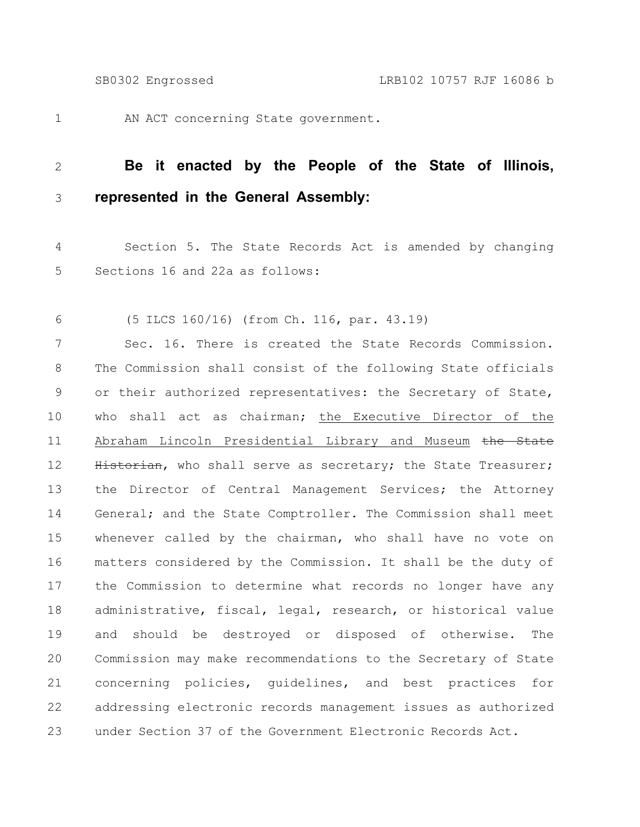1

AN ACT concerning State government.

## **Be it enacted by the People of the State of Illinois, represented in the General Assembly:** 2 3

Section 5. The State Records Act is amended by changing Sections 16 and 22a as follows: 4 5

(5 ILCS 160/16) (from Ch. 116, par. 43.19) 6

Sec. 16. There is created the State Records Commission. The Commission shall consist of the following State officials or their authorized representatives: the Secretary of State, who shall act as chairman; the Executive Director of the Abraham Lincoln Presidential Library and Museum the State Historian, who shall serve as secretary; the State Treasurer; the Director of Central Management Services; the Attorney General; and the State Comptroller. The Commission shall meet whenever called by the chairman, who shall have no vote on matters considered by the Commission. It shall be the duty of the Commission to determine what records no longer have any administrative, fiscal, legal, research, or historical value and should be destroyed or disposed of otherwise. The Commission may make recommendations to the Secretary of State concerning policies, guidelines, and best practices for addressing electronic records management issues as authorized under Section 37 of the Government Electronic Records Act. 7 8 9 10 11 12 13 14 15 16 17 18 19 20 21 22 23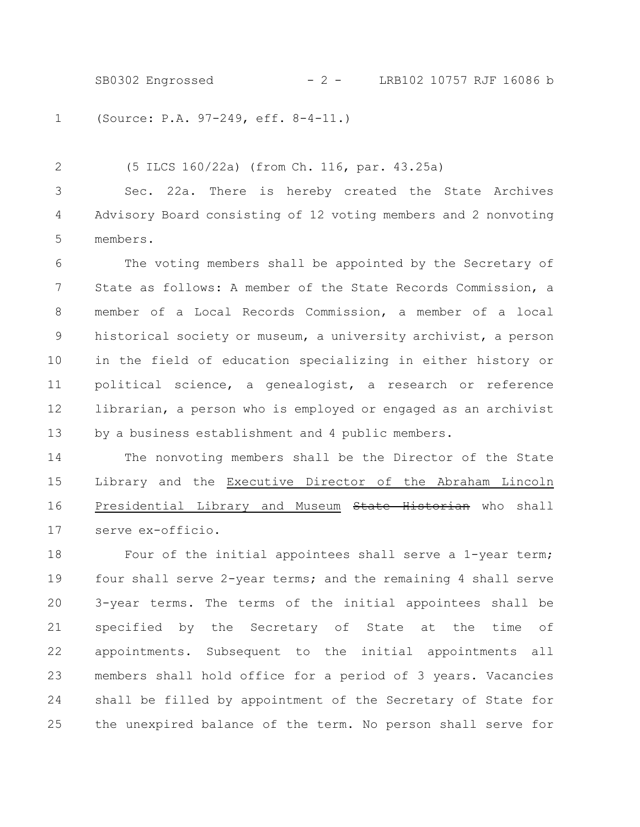SB0302 Engrossed - 2 - LRB102 10757 RJF 16086 b

(Source: P.A. 97-249, eff. 8-4-11.) 1

(5 ILCS 160/22a) (from Ch. 116, par. 43.25a) Sec. 22a. There is hereby created the State Archives Advisory Board consisting of 12 voting members and 2 nonvoting members. 2 3 4 5

The voting members shall be appointed by the Secretary of State as follows: A member of the State Records Commission, a member of a Local Records Commission, a member of a local historical society or museum, a university archivist, a person in the field of education specializing in either history or political science, a genealogist, a research or reference librarian, a person who is employed or engaged as an archivist by a business establishment and 4 public members. 6 7 8 9 10 11 12 13

The nonvoting members shall be the Director of the State Library and the Executive Director of the Abraham Lincoln Presidential Library and Museum State Historian who shall serve ex-officio. 14 15 16 17

Four of the initial appointees shall serve a 1-year term; four shall serve 2-year terms; and the remaining 4 shall serve 3-year terms. The terms of the initial appointees shall be specified by the Secretary of State at the time of appointments. Subsequent to the initial appointments all members shall hold office for a period of 3 years. Vacancies shall be filled by appointment of the Secretary of State for the unexpired balance of the term. No person shall serve for 18 19 20 21 22 23 24 25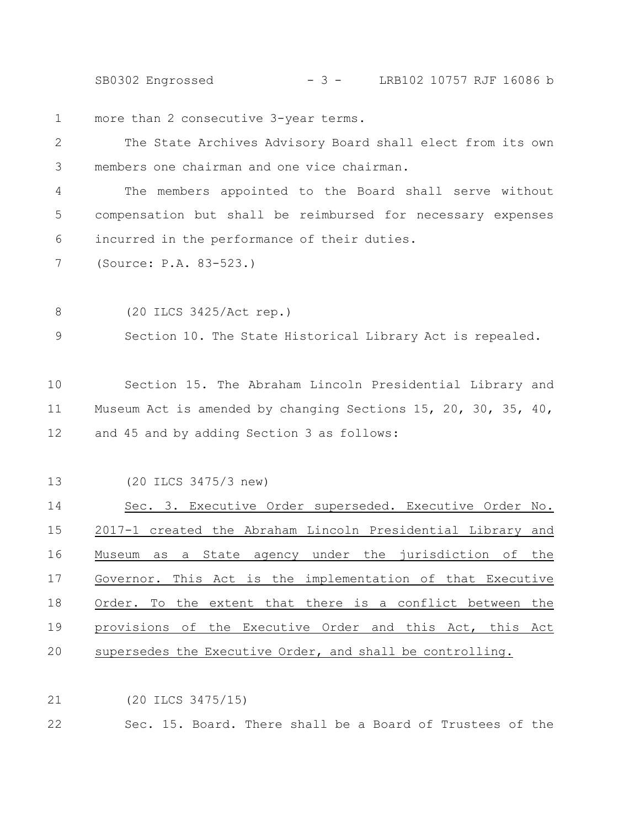SB0302 Engrossed - 3 - LRB102 10757 RJF 16086 b

more than 2 consecutive 3-year terms. 1

The State Archives Advisory Board shall elect from its own members one chairman and one vice chairman. 2 3

The members appointed to the Board shall serve without compensation but shall be reimbursed for necessary expenses incurred in the performance of their duties. 4 5 6

(Source: P.A. 83-523.) 7

(20 ILCS 3425/Act rep.) 8

Section 10. The State Historical Library Act is repealed. 9

Section 15. The Abraham Lincoln Presidential Library and Museum Act is amended by changing Sections 15, 20, 30, 35, 40, and 45 and by adding Section 3 as follows: 10 11 12

(20 ILCS 3475/3 new) 13

Sec. 3. Executive Order superseded. Executive Order No. 2017-1 created the Abraham Lincoln Presidential Library and Museum as a State agency under the jurisdiction of the Governor. This Act is the implementation of that Executive Order. To the extent that there is a conflict between the provisions of the Executive Order and this Act, this Act supersedes the Executive Order, and shall be controlling. 14 15 16 17 18 19 20

(20 ILCS 3475/15) 21

Sec. 15. Board. There shall be a Board of Trustees of the 22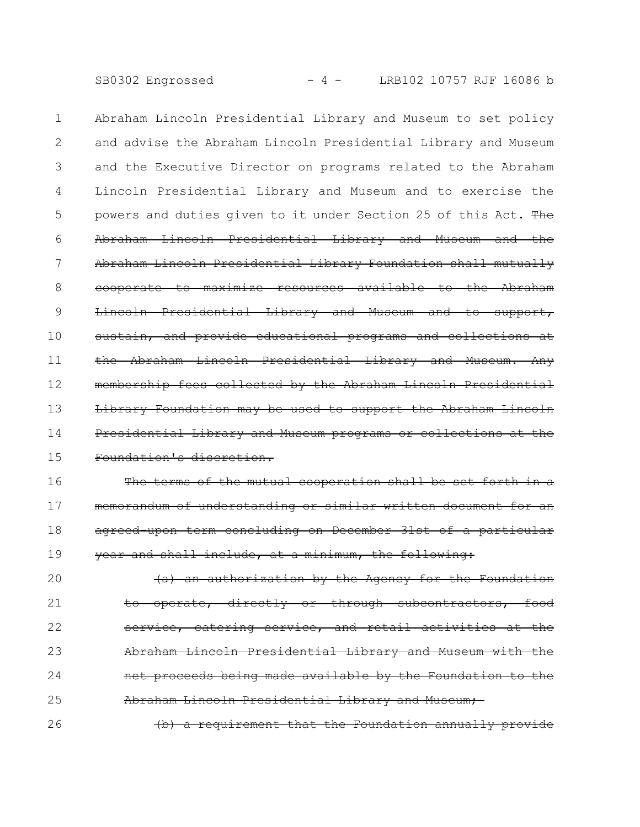SB0302 Engrossed - 4 - LRB102 10757 RJF 16086 b

Abraham Lincoln Presidential Library and Museum to set policy and advise the Abraham Lincoln Presidential Library and Museum and the Executive Director on programs related to the Abraham Lincoln Presidential Library and Museum and to exercise the powers and duties given to it under Section 25 of this Act. The Abraham Lincoln Presidential Library and Museum and the Abraham Lincoln Presidential Library Foundation shall mutually cooperate to maximize resources available to the Abraham Lincoln Presidential Library and Museum and to support, sustain, and provide educational programs and collections at the Abraham Lincoln Presidential Library and Museum. Any membership fees collected by the Abraham Lincoln Presidential Library Foundation may be used to support the Abraham Presidential Library and Museum programs or collections at the Foundation's discretion. 1 2 3 4 5 6 7 8 9 10 11 12 13 14 15

The terms of the mutual cooperation shall be set forth in a memorandum of understanding or similar written document for agreed-upon term concluding on December 31st of a particular year and shall include, at a minimum, the following: 16 17 18 19

(a) an authorization by the Agency for the Foundation operate, directly or through subcontractors, service, catering service, and retail activities at the Abraham Lincoln Presidential Library and Museum with net proceeds being made available by the Foundation to the Abraham Lincoln Presidential Library and Museum; 20 21 22 23 24 25

(b) a requirement that the Foundation annually provide 26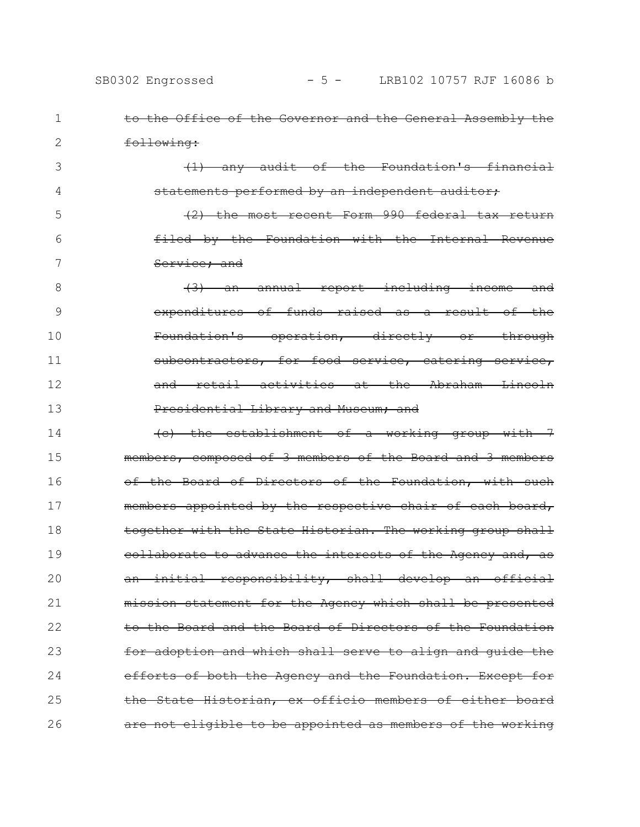| <del>to the (</del> |  |
|---------------------|--|
|                     |  |
|                     |  |

1

2

3

4

Office of the Governor and the General Assembly the following:

(1) any audit of the Foundation's financial statements performed by an independent auditor;

(2) the most recent Form 990 federal tax return filed by the Foundation with the Internal Revenue Service; and 5 6 7

(3) an annual report including income and expenditures of funds raised as a result of the Foundation's operation, directly or through subcontractors, for food service, catering service, and retail activities at the Abraham Lincoln Presidential Library and Museum; and 8 9 10 11 12 13

(c) the establishment of a working group with 7 members, composed of 3 members of the Board and 3 members of the Board of Directors of the Foundation, with such members appointed by the respective chair of each board, together with the State Historian. The working group shall collaborate to advance the interests of the Agency and, as an initial responsibility, shall develop an official mission statement for the Agency which shall be presented to the Board and the Board of Directors of the Foundation for adoption and which shall serve to align and guide the efforts of both the Agency and the Foundation. Except for the State Historian, ex officio members of either board are not eligible to be appointed as members of the working 14 15 16 17 18 19 20 21 22 23 24 25 26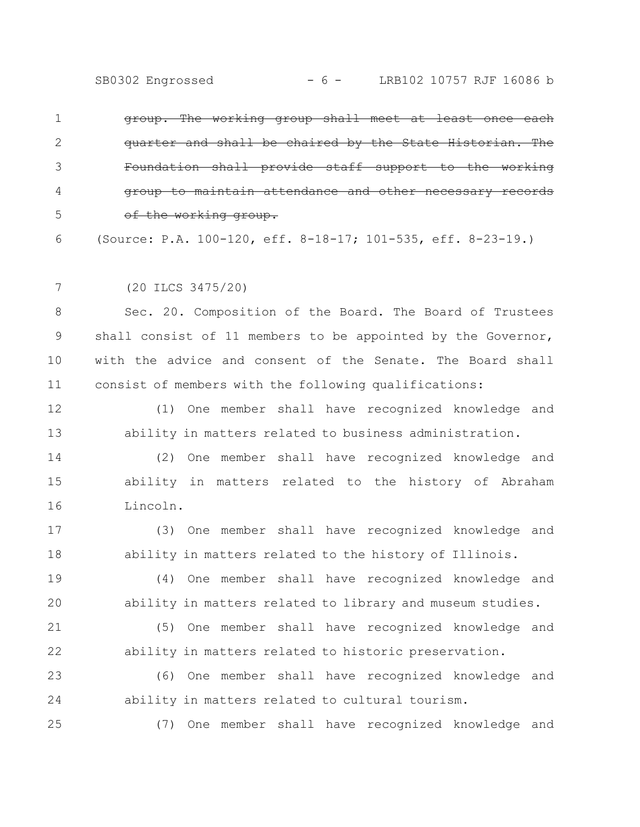|   | group. The working group shall meet at least once each       |
|---|--------------------------------------------------------------|
|   | quarter and shall be chaired by the State Historian. The     |
|   | Foundation shall provide staff support to the working        |
|   | group to maintain attendance and other necessary records     |
|   | of the working group.                                        |
| 6 | (Source: P.A. 100-120, eff. 8-18-17; 101-535, eff. 8-23-19.) |

(20 ILCS 3475/20) 7

25

Sec. 20. Composition of the Board. The Board of Trustees shall consist of 11 members to be appointed by the Governor, with the advice and consent of the Senate. The Board shall consist of members with the following qualifications: 8 9 10 11

(1) One member shall have recognized knowledge and ability in matters related to business administration. 12 13

(2) One member shall have recognized knowledge and ability in matters related to the history of Abraham Lincoln. 14 15 16

(3) One member shall have recognized knowledge and ability in matters related to the history of Illinois. 17 18

(4) One member shall have recognized knowledge and ability in matters related to library and museum studies. 19 20

(5) One member shall have recognized knowledge and ability in matters related to historic preservation. 21 22

(6) One member shall have recognized knowledge and ability in matters related to cultural tourism. 23 24

(7) One member shall have recognized knowledge and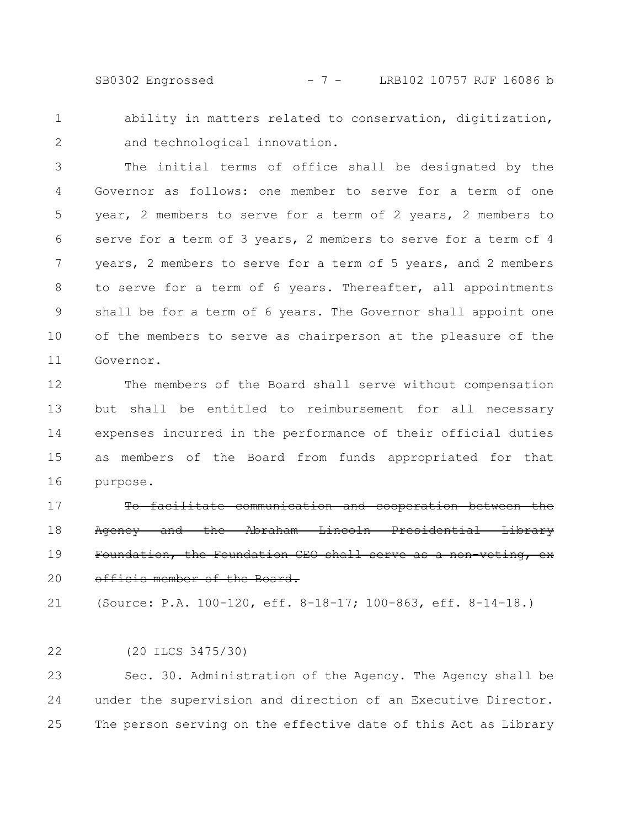SB0302 Engrossed - 7 - LRB102 10757 RJF 16086 b

ability in matters related to conservation, digitization, and technological innovation. 1 2

The initial terms of office shall be designated by the Governor as follows: one member to serve for a term of one year, 2 members to serve for a term of 2 years, 2 members to serve for a term of 3 years, 2 members to serve for a term of 4 years, 2 members to serve for a term of 5 years, and 2 members to serve for a term of 6 years. Thereafter, all appointments shall be for a term of 6 years. The Governor shall appoint one of the members to serve as chairperson at the pleasure of the Governor. 3 4 5 6 7 8 9 10 11

The members of the Board shall serve without compensation but shall be entitled to reimbursement for all necessary expenses incurred in the performance of their official duties as members of the Board from funds appropriated for that purpose. 12 13 14 15 16

To facilitate communication and cooperation between the Agency and the Abraham Lincoln Presidential Library Foundation, the Foundation CEO shall serve as a non-voting, exofficio member of the Board. 17 18 19 20

(Source: P.A. 100-120, eff. 8-18-17; 100-863, eff. 8-14-18.) 21

(20 ILCS 3475/30) 22

Sec. 30. Administration of the Agency. The Agency shall be under the supervision and direction of an Executive Director. The person serving on the effective date of this Act as Library 23 24 25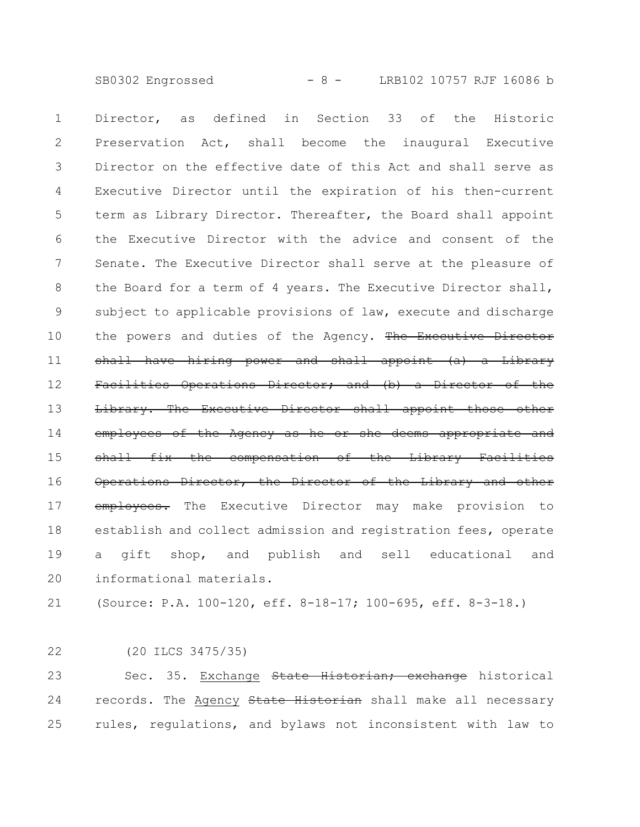SB0302 Engrossed - 8 - LRB102 10757 RJF 16086 b

Director, as defined in Section 33 of the Historic Preservation Act, shall become the inaugural Executive Director on the effective date of this Act and shall serve as Executive Director until the expiration of his then-current term as Library Director. Thereafter, the Board shall appoint the Executive Director with the advice and consent of the Senate. The Executive Director shall serve at the pleasure of the Board for a term of 4 years. The Executive Director shall, subject to applicable provisions of law, execute and discharge the powers and duties of the Agency. The Executive Director shall have hiring power and shall appoint (a) a Library Facilities Operations Director; and (b) a Director of the Library. The Executive Director shall appoint employees of the Agency as he or she deems appropriate and shall fix the compensation of the Library Facilities Operations Director, the Director of the Library and other employees. The Executive Director may make provision to establish and collect admission and registration fees, operate a gift shop, and publish and sell educational and informational materials. 1 2 3 4 5 6 7 8 9 10 11 12 13 14 15 16 17 18 19 20

(Source: P.A. 100-120, eff. 8-18-17; 100-695, eff. 8-3-18.) 21

(20 ILCS 3475/35) 22

Sec. 35. Exchange State Historian; exchange historical records. The Agency State Historian shall make all necessary rules, regulations, and bylaws not inconsistent with law to 23 24 25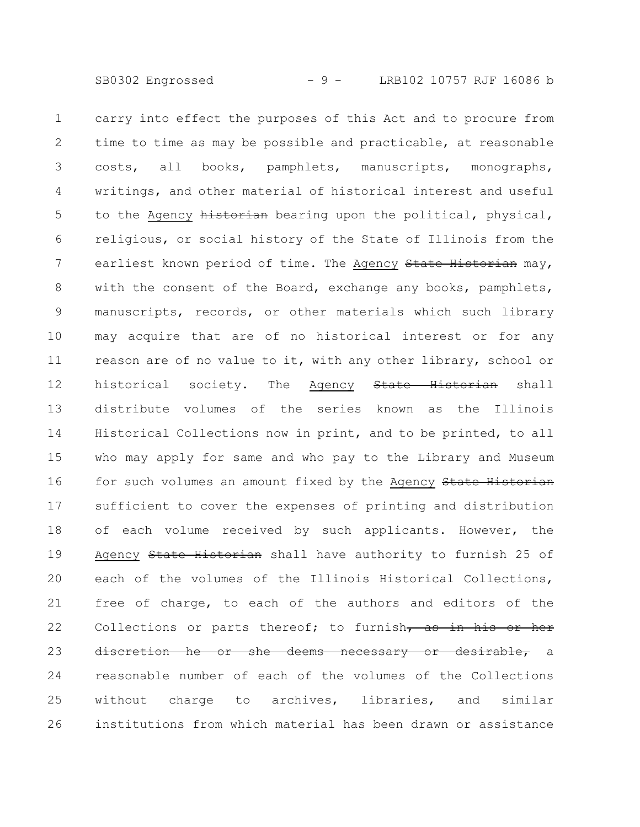carry into effect the purposes of this Act and to procure from time to time as may be possible and practicable, at reasonable costs, all books, pamphlets, manuscripts, monographs, writings, and other material of historical interest and useful to the Agency historian bearing upon the political, physical, religious, or social history of the State of Illinois from the earliest known period of time. The Agency State Historian may, with the consent of the Board, exchange any books, pamphlets, manuscripts, records, or other materials which such library may acquire that are of no historical interest or for any reason are of no value to it, with any other library, school or historical society. The Agency State Historian shall distribute volumes of the series known as the Illinois Historical Collections now in print, and to be printed, to all who may apply for same and who pay to the Library and Museum for such volumes an amount fixed by the Agency State Historian sufficient to cover the expenses of printing and distribution of each volume received by such applicants. However, the Agency State Historian shall have authority to furnish 25 of each of the volumes of the Illinois Historical Collections, free of charge, to each of the authors and editors of the Collections or parts thereof; to furnish, as in his or her discretion he or she deems necessary or desirable, a reasonable number of each of the volumes of the Collections without charge to archives, libraries, and similar institutions from which material has been drawn or assistance 1 2 3 4 5 6 7 8 9 10 11 12 13 14 15 16 17 18 19 20 21 22 23 24 25 26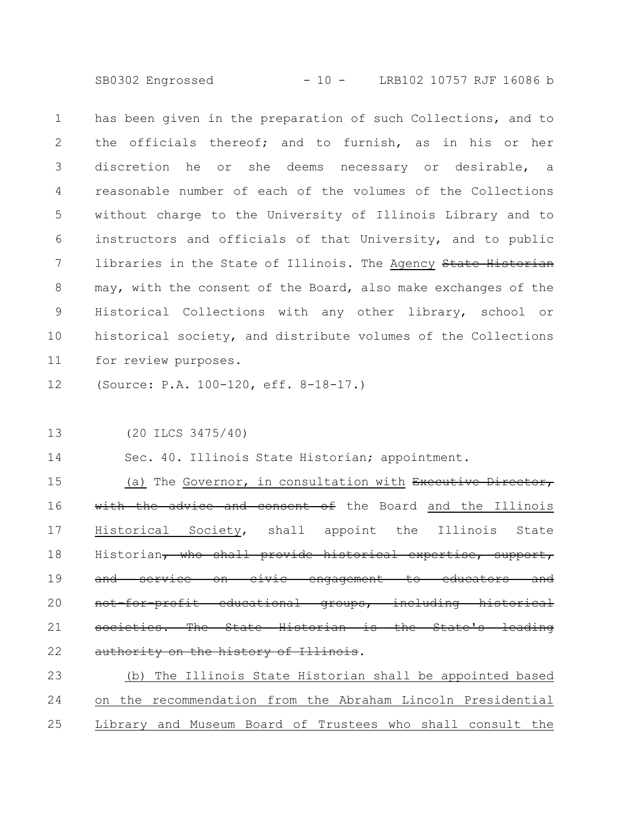SB0302 Engrossed - 10 - LRB102 10757 RJF 16086 b

has been given in the preparation of such Collections, and to the officials thereof; and to furnish, as in his or her discretion he or she deems necessary or desirable, a reasonable number of each of the volumes of the Collections without charge to the University of Illinois Library and to instructors and officials of that University, and to public libraries in the State of Illinois. The Agency State Historian may, with the consent of the Board, also make exchanges of the Historical Collections with any other library, school or historical society, and distribute volumes of the Collections for review purposes. 1 2 3 4 5 6 7 8 9 10 11

(Source: P.A. 100-120, eff. 8-18-17.) 12

(20 ILCS 3475/40) 13

Sec. 40. Illinois State Historian; appointment. 14

(a) The Governor, in consultation with Executive Director, with the advice and consent of the Board and the Illinois Historical Society, shall appoint the Illinois State Historian, who shall provide historical expertise, support, and service on civic engagement to educators and for-profit educational groups, including societies. The State Historian is the State's authority on the history of Illinois. 15 16 17 18 19 20 21 22

(b) The Illinois State Historian shall be appointed based on the recommendation from the Abraham Lincoln Presidential Library and Museum Board of Trustees who shall consult the 23 24 25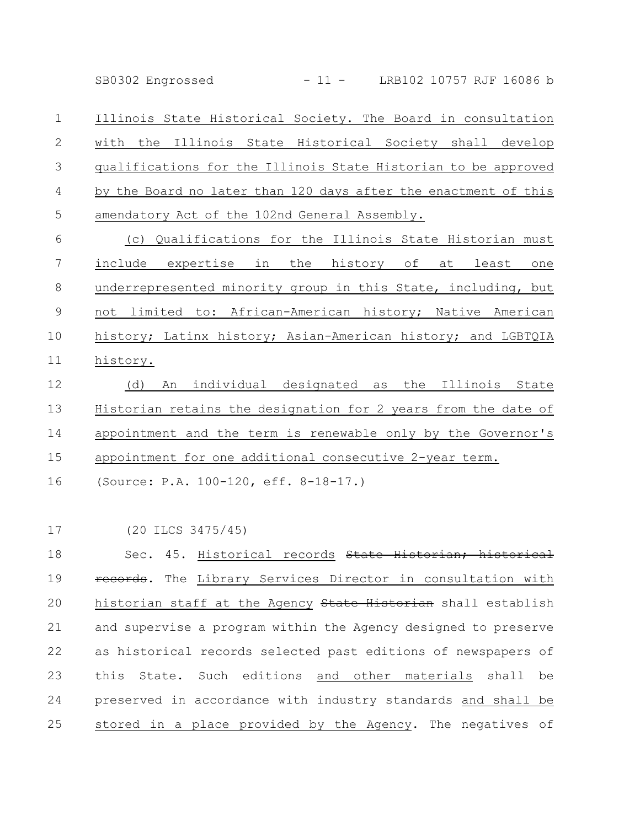SB0302 Engrossed - 11 - LRB102 10757 RJF 16086 b

Illinois State Historical Society. The Board in consultation with the Illinois State Historical Society shall develop qualifications for the Illinois State Historian to be approved by the Board no later than 120 days after the enactment of this amendatory Act of the 102nd General Assembly. 1 2 3 4 5

(c) Qualifications for the Illinois State Historian must include expertise in the history of at least one underrepresented minority group in this State, including, but not limited to: African-American history; Native American history; Latinx history; Asian-American history; and LGBTQIA history. 6 7 8 9 10 11

(d) An individual designated as the Illinois State Historian retains the designation for 2 years from the date of appointment and the term is renewable only by the Governor's appointment for one additional consecutive 2-year term. 12 13 14 15

(Source: P.A. 100-120, eff. 8-18-17.) 16

(20 ILCS 3475/45) 17

Sec. 45. Historical records State Historian; historical records. The Library Services Director in consultation with historian staff at the Agency State Historian shall establish and supervise a program within the Agency designed to preserve as historical records selected past editions of newspapers of this State. Such editions and other materials shall be preserved in accordance with industry standards and shall be stored in a place provided by the Agency. The negatives of 18 19 20 21 22 23 24 25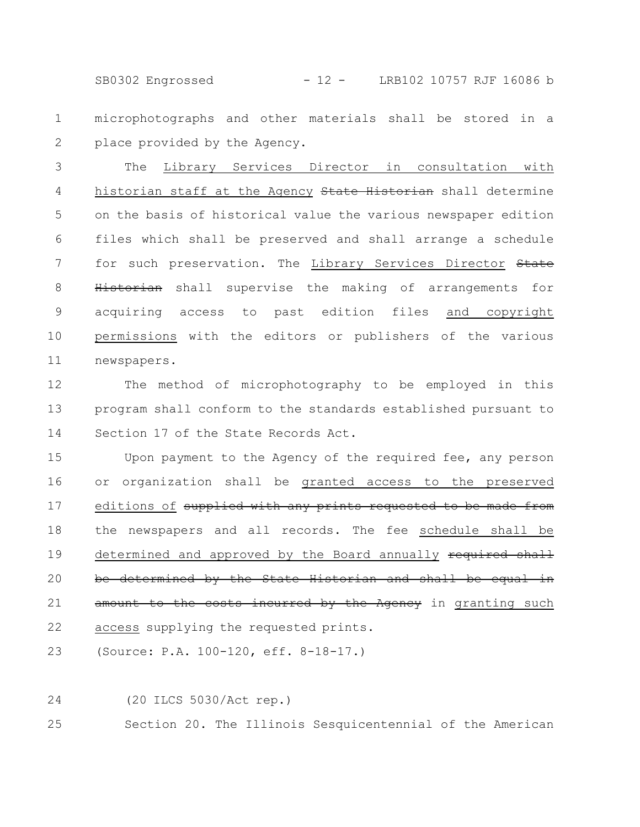SB0302 Engrossed - 12 - LRB102 10757 RJF 16086 b

microphotographs and other materials shall be stored in a place provided by the Agency. 1 2

The Library Services Director in consultation with historian staff at the Agency State Historian shall determine on the basis of historical value the various newspaper edition files which shall be preserved and shall arrange a schedule for such preservation. The Library Services Director State Historian shall supervise the making of arrangements for acquiring access to past edition files and copyright permissions with the editors or publishers of the various newspapers. 3 4 5 6 7 8 9 10 11

The method of microphotography to be employed in this program shall conform to the standards established pursuant to Section 17 of the State Records Act. 12 13 14

Upon payment to the Agency of the required fee, any person or organization shall be granted access to the preserved editions of supplied with any prints requested to be made from the newspapers and all records. The fee schedule shall be determined and approved by the Board annually required shall be determined by the State Historian and shall be equal in amount to the costs incurred by the Agency in granting such access supplying the requested prints. 15 16 17 18 19 20 21 22

(Source: P.A. 100-120, eff. 8-18-17.) 23

24

(20 ILCS 5030/Act rep.)

Section 20. The Illinois Sesquicentennial of the American 25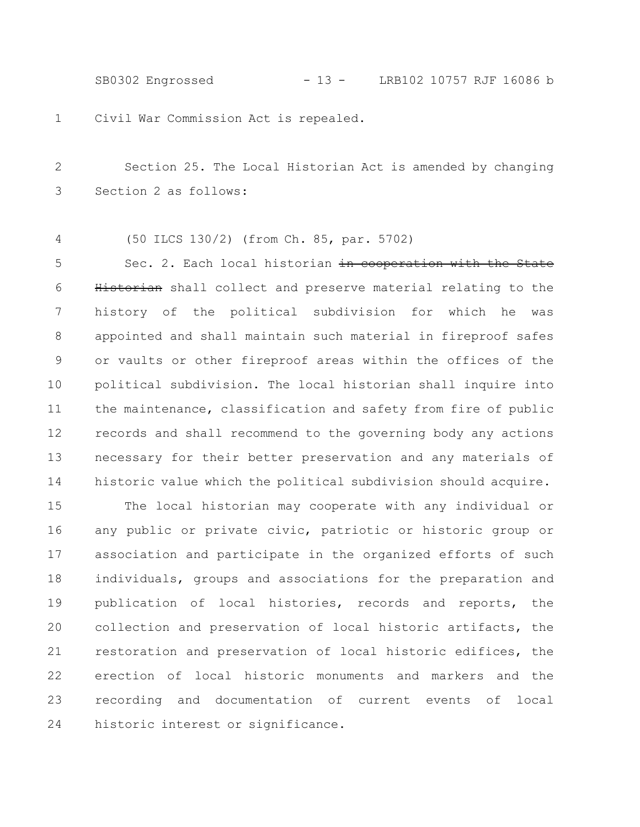SB0302 Engrossed - 13 - LRB102 10757 RJF 16086 b

Civil War Commission Act is repealed. 1

Section 25. The Local Historian Act is amended by changing Section 2 as follows: 2 3

(50 ILCS 130/2) (from Ch. 85, par. 5702) 4

Sec. 2. Each local historian in cooperation with the State Historian shall collect and preserve material relating to the history of the political subdivision for which he was appointed and shall maintain such material in fireproof safes or vaults or other fireproof areas within the offices of the political subdivision. The local historian shall inquire into the maintenance, classification and safety from fire of public records and shall recommend to the governing body any actions necessary for their better preservation and any materials of historic value which the political subdivision should acquire. 5 6 7 8 9 10 11 12 13 14

The local historian may cooperate with any individual or any public or private civic, patriotic or historic group or association and participate in the organized efforts of such individuals, groups and associations for the preparation and publication of local histories, records and reports, the collection and preservation of local historic artifacts, the restoration and preservation of local historic edifices, the erection of local historic monuments and markers and the recording and documentation of current events of local historic interest or significance. 15 16 17 18 19 20 21 22 23 24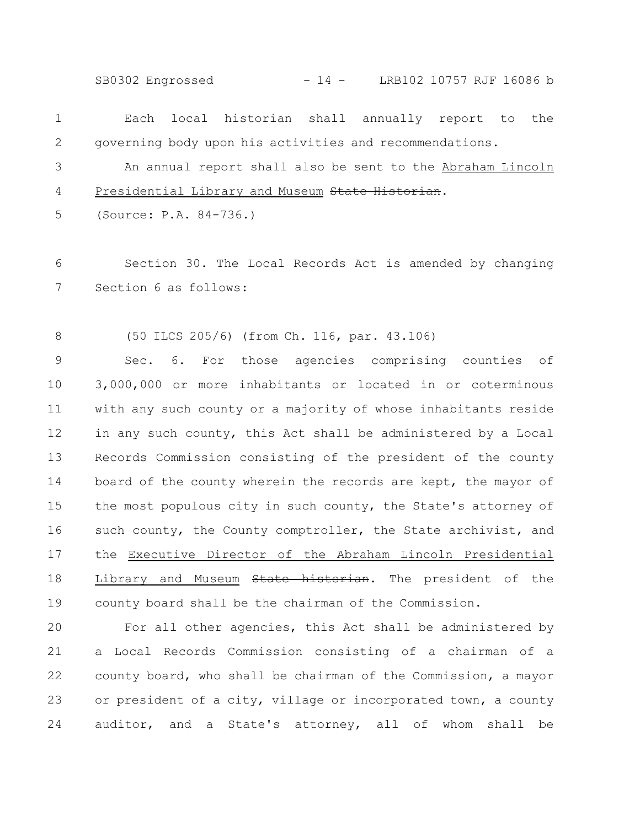SB0302 Engrossed - 14 - LRB102 10757 RJF 16086 b

| 1            | Each<br>local historian shall annually report to the           |
|--------------|----------------------------------------------------------------|
| $\mathbf{2}$ | governing body upon his activities and recommendations.        |
| 3            | An annual report shall also be sent to the Abraham Lincoln     |
| 4            | Presidential Library and Museum State Historian.               |
| 5            | (Source: P.A. 84-736.)                                         |
|              |                                                                |
| 6            | Section 30. The Local Records Act is amended by changing       |
| 7            | Section 6 as follows:                                          |
|              |                                                                |
| 8            | (50 ILCS 205/6) (from Ch. 116, par. 43.106)                    |
| 9            | Sec. 6. For those agencies comprising counties of              |
| 10           | 3,000,000 or more inhabitants or located in or coterminous     |
| 11           | with any such county or a majority of whose inhabitants reside |
| 12           | in any such county, this Act shall be administered by a Local  |
| 13           | Records Commission consisting of the president of the county   |
| 14           | board of the county wherein the records are kept, the mayor of |

the most populous city in such county, the State's attorney of such county, the County comptroller, the State archivist, and the Executive Director of the Abraham Lincoln Presidential Library and Museum State historian. The president of the county board shall be the chairman of the Commission. 14 15 16 17 18 19

For all other agencies, this Act shall be administered by a Local Records Commission consisting of a chairman of a county board, who shall be chairman of the Commission, a mayor or president of a city, village or incorporated town, a county auditor, and a State's attorney, all of whom shall be 20 21 22 23 24